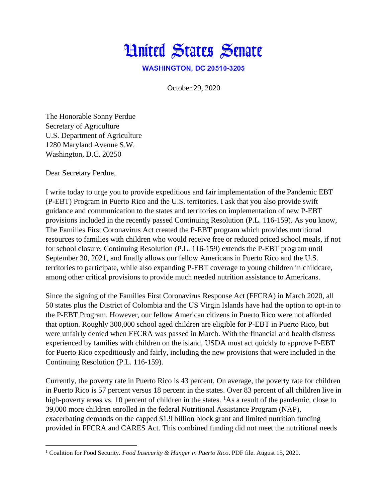

**WASHINGTON, DC 20510-3205** 

October 29, 2020

The Honorable Sonny Perdue Secretary of Agriculture U.S. Department of Agriculture 1280 Maryland Avenue S.W. Washington, D.C. 20250

Dear Secretary Perdue,

I write today to urge you to provide expeditious and fair implementation of the Pandemic EBT (P-EBT) Program in Puerto Rico and the U.S. territories. I ask that you also provide swift guidance and communication to the states and territories on implementation of new P-EBT provisions included in the recently passed Continuing Resolution (P.L. 116-159). As you know, The Families First Coronavirus Act created the P-EBT program which provides nutritional resources to families with children who would receive free or reduced priced school meals, if not for school closure. Continuing Resolution (P.L. 116-159) extends the P-EBT program until September 30, 2021, and finally allows our fellow Americans in Puerto Rico and the U.S. territories to participate, while also expanding P-EBT coverage to young children in childcare, among other critical provisions to provide much needed nutrition assistance to Americans.

Since the signing of the Families First Coronavirus Response Act (FFCRA) in March 2020, all 50 states plus the District of Colombia and the US Virgin Islands have had the option to opt-in to the P-EBT Program. However, our fellow American citizens in Puerto Rico were not afforded that option. Roughly 300,000 school aged children are eligible for P-EBT in Puerto Rico, but were unfairly denied when FFCRA was passed in March. With the financial and health distress experienced by families with children on the island, USDA must act quickly to approve P-EBT for Puerto Rico expeditiously and fairly, including the new provisions that were included in the Continuing Resolution (P.L. 116-159).

Currently, the poverty rate in Puerto Rico is 43 percent. On average, the poverty rate for children in Puerto Rico is 57 percent versus 18 percent in the states. Over 83 percent of all children live in high-poverty areas vs. 10 percent of children in the states.  ${}^{1}$ As a result of the pandemic, close to 39,000 more children enrolled in the federal Nutritional Assistance Program (NAP), exacerbating demands on the capped \$1.9 billion block grant and limited nutrition funding provided in FFCRA and CARES Act. This combined funding did not meet the nutritional needs

<sup>1</sup> Coalition for Food Security*. Food Insecurity & Hunger in Puerto Rico*. PDF file. August 15, 2020.